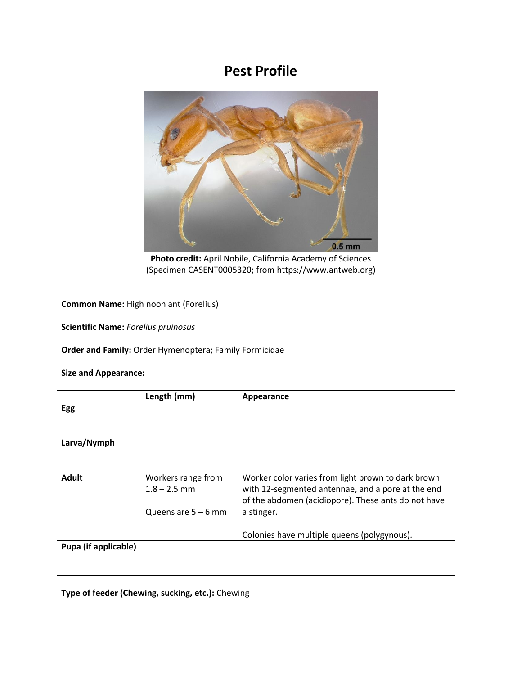## **Pest Profile**



**Photo credit:** April Nobile, California Academy of Sciences (Specimen CASENT0005320; from https://www.antweb.org)

**Common Name:** High noon ant (Forelius)

**Scientific Name:** *Forelius pruinosus*

**Order and Family:** Order Hymenoptera; Family Formicidae

## **Size and Appearance:**

|                      | Length (mm)                          | Appearance                                                                                                                                                     |
|----------------------|--------------------------------------|----------------------------------------------------------------------------------------------------------------------------------------------------------------|
| Egg                  |                                      |                                                                                                                                                                |
|                      |                                      |                                                                                                                                                                |
| Larva/Nymph          |                                      |                                                                                                                                                                |
|                      |                                      |                                                                                                                                                                |
| <b>Adult</b>         | Workers range from<br>$1.8 - 2.5$ mm | Worker color varies from light brown to dark brown<br>with 12-segmented antennae, and a pore at the end<br>of the abdomen (acidiopore). These ants do not have |
|                      | Queens are $5 - 6$ mm                | a stinger.                                                                                                                                                     |
|                      |                                      | Colonies have multiple queens (polygynous).                                                                                                                    |
| Pupa (if applicable) |                                      |                                                                                                                                                                |
|                      |                                      |                                                                                                                                                                |

**Type of feeder (Chewing, sucking, etc.):** Chewing